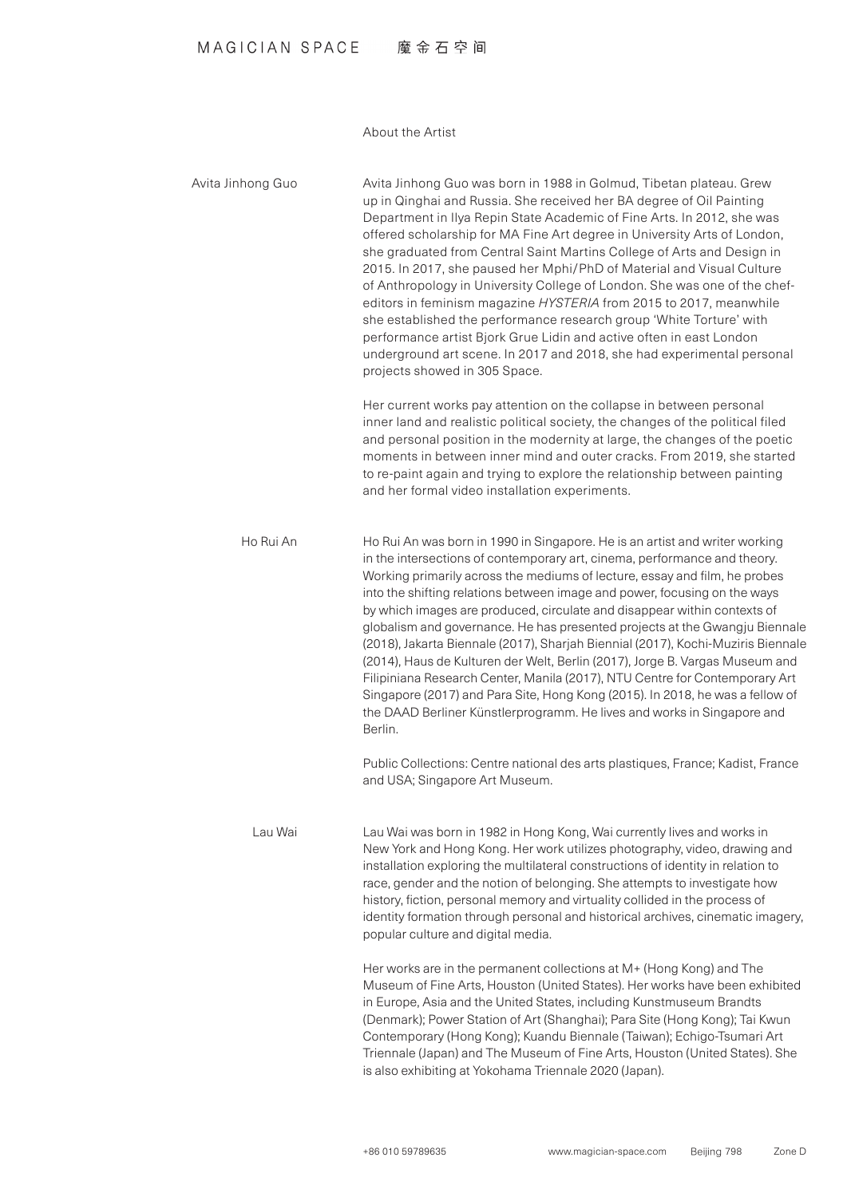## MAGICIAN SPACE 魔金石空间

About the Artist

Avita Jinhong Guo was born in 1988 in Golmud. Tibetan plateau, Grew up in Qinghai and Russia. She received her BA degree of Oil Painting Department in Ilya Repin State Academic of Fine Arts. In 2012, she was offered scholarship for MA Fine Art degree in University Arts of London, she graduated from Central Saint Martins College of Arts and Design in 2015. In 2017, she paused her Mphi/PhD of Material and Visual Culture editors in feminism magazine HYSTERIA from 2015 to 2017, meanwhile of Anthropology in University College of London. She was one of the chefshe established the performance research group 'White Torture' with performance artist Biork Grue Lidin and active often in east London underground art scene. In 2017 and 2018, she had experimental personal projects showed in 305 Space. Her current works pay attention on the collapse in between personal inner land and realistic political society, the changes of the political filed and personal position in the modernity at large, the changes of the poetic moments in between inner mind and outer cracks. From 2019, she started to re-paint again and trying to explore the relationship between painting and her formal video installation experiments. Ho Rui An was born in 1990 in Singapore. He is an artist and writer working in the intersections of contemporary art, cinema, performance and theory. Working primarily across the mediums of lecture, essay and film, he probes into the shifting relations between image and power, focusing on the ways by which images are produced, circulate and disappear within contexts of globalism and governance. He has presented projects at the Gwangju Biennale (2018), Jakarta Biennale (2017), Sharjah Biennial (2017), Kochi-Muziris Biennale (2014), Haus de Kulturen der Welt, Berlin (2017), Jorge B. Vargas Museum and Filipiniana Research Center, Manila (2017), NTU Centre for Contemporary Art Singapore (2017) and Para Site, Hong Kong (2015). In 2018, he was a fellow of the DAAD Berliner Künstlerprogramm. He lives and works in Singapore and Berlin. Public Collections: Centre national des arts plastiques, France; Kadist, France and USA; Singapore Art Museum. Lau Wai was born in 1982 in Hong Kong, Wai currently lives and works in New York and Hong Kong. Her work utilizes photography, video, drawing and in stallation exploring the multilateral constructions of identity in relation to race, gender and the notion of belonging. She attempts to investigate how history, fiction, personal memory and virtuality collided in the process of identity formation through personal and historical archives, cinematic imagery, popular culture and digital media. Her works are in the permanent collections at M+ (Hong Kong) and The Museum of Fine Arts, Houston (United States). Her works have been exhibited in Europe, Asia and the United States, including Kunstmuseum Brandts (Denmark); Power Station of Art (Shanghai); Para Site (Hong Kong); Tai Kwun Avita Jinhong Guo Ho Rui An Lau Wai

Contemporary (Hong Kong); Kuandu Biennale (Taiwan); Echigo-Tsumari Art Triennale (Japan) and The Museum of Fine Arts, Houston (United States). She is also exhibiting at Yokohama Triennale 2020 (Japan).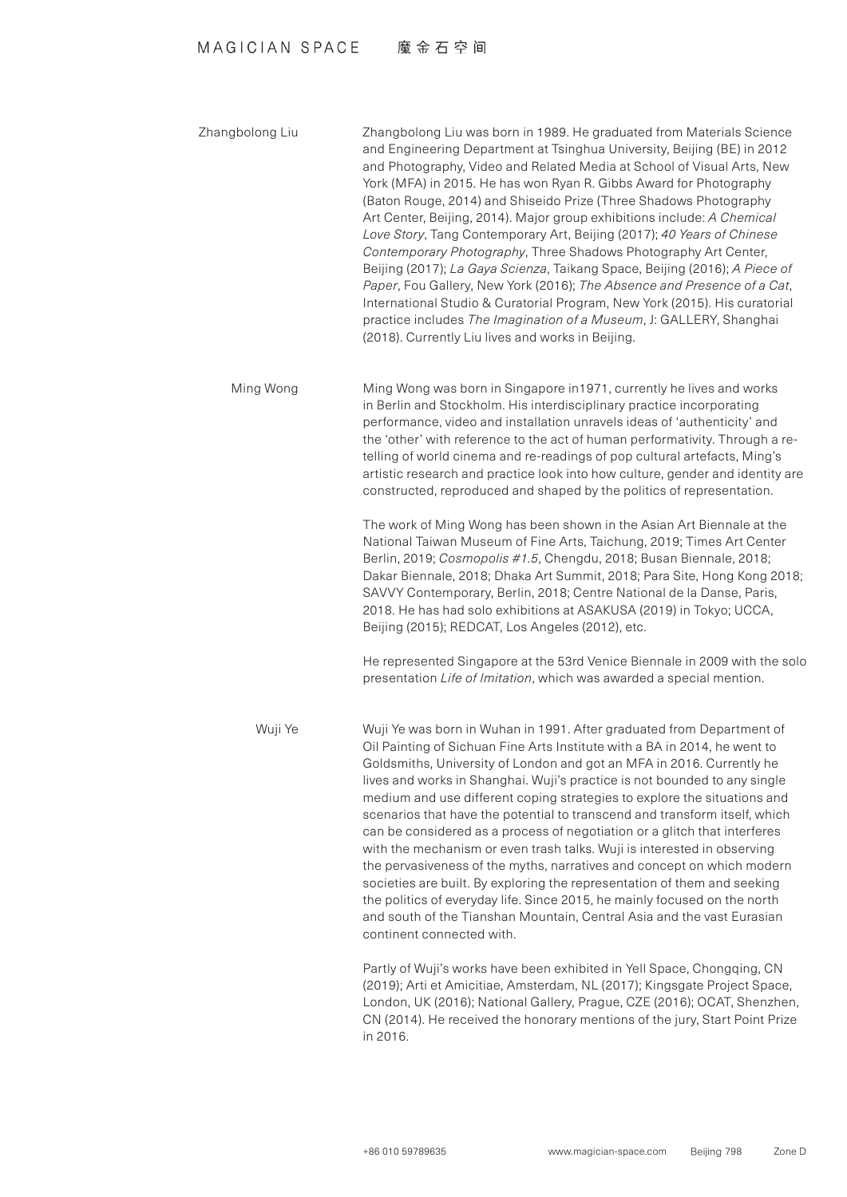## MAGICIAN SPACE 魔金石空间

Zhangbolong Liu was born in 1989. He graduated from Materials Science and Engineering Department at Tsinghua University, Beijing (BE) in 2012 and Photography, Video and Related Media at School of Visual Arts, New York (MFA) in 2015. He has won Ryan R, Gibbs Award for Photography (Baton Rouge, 2014) and Shiseido Prize (Three Shadows Photography) Art Center, Beijing, 2014). Major group exhibitions include: A Chemical *Love Story*, Tang Contemporary Art, Beijing (2017); 40 Years of Chinese Contemporary Photography, Three Shadows Photography Art Center, *Beijing (2017); La Gaya Scienza, Taikang Space, Beijing (2016); A Piece of* Paper, Fou Gallery, New York (2016); The Absence and Presence of a Cat, International Studio & Curatorial Program, New York (2015). His curatorial practice includes *The Imagination of a Museum*, J: GALLERY, Shanghai (2018). Currently Liu lives and works in Beijing. Zhangbolong Liu

Ming Wong was born in Singapore in 1971, currently he lives and works in Berlin and Stockholm. His interdisciplinary practice incorporating performance, video and installation unravels ideas of 'authenticity' and telling of world cinema and re-readings of pop cultural artefacts, Ming's the 'other' with reference to the act of human performativity. Through a reartistic research and practice look into how culture, gender and identity are constructed, reproduced and shaped by the politics of representation. Ming Wong

> The work of Ming Wong has been shown in the Asian Art Biennale at the National Taiwan Museum of Fine Arts, Taichung, 2019; Times Art Center Berlin, 2019; Cosmopolis #1.5, Chengdu, 2018; Busan Biennale, 2018; Dakar Biennale, 2018; Dhaka Art Summit, 2018; Para Site, Hong Kong 2018; SAVVY Contemporary, Berlin, 2018; Centre National de la Danse, Paris, 2018. He has had solo exhibitions at ASAKUSA (2019) in Tokyo; UCCA, Beijing (2015); REDCAT, Los Angeles (2012), etc.

> He represented Singapore at the 53rd Venice Biennale in 2009 with the solo presentation *Life of Imitation*, which was awarded a special mention.

Wuji Ye was born in Wuhan in 1991. After graduated from Department of Oil Painting of Sichuan Fine Arts Institute with a BA in 2014, he went to Goldsmiths, University of London and got an MFA in 2016. Currently he lives and works in Shanghai. Wuji's practice is not bounded to any single medium and use different coping strategies to explore the situations and scenarios that have the potential to transcend and transform itself, which can be considered as a process of negotiation or a glitch that interferes with the mechanism or even trash talks. Wuji is interested in observing the pervasiveness of the myths, narratives and concept on which modern societies are built. By exploring the representation of them and seeking the politics of everyday life. Since 2015, he mainly focused on the north and south of the Tianshan Mountain, Central Asia and the vast Eurasian continent connected with. Wuji Ye

> Partly of Wuji's works have been exhibited in Yell Space, Chongqing, CN (2019); Arti et Amicitiae, Amsterdam, NL (2017); Kingsgate Project Space, London, UK (2016); National Gallery, Prague, CZE (2016); OCAT, Shenzhen, CN (2014). He received the honorary mentions of the jury, Start Point Prize. 2016. in